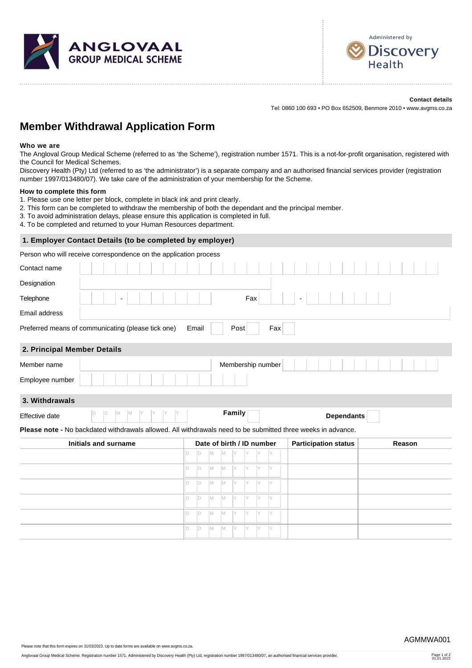



**Contact details**

Tel: 0860 100 693 • PO Box 652509, Benmore 2010 • www.avgms.co.za

# **Member Withdrawal Application Form**

#### **Who we are**

The Angloval Group Medical Scheme (referred to as 'the Scheme'), registration number 1571. This is a not-for-profit organisation, registered with the Council for Medical Schemes.

Discovery Health (Pty) Ltd (referred to as 'the administrator') is a separate company and an authorised financial services provider (registration number 1997/013480/07). We take care of the administration of your membership for the Scheme.

#### **How to complete this form**

- 1. Please use one letter per block, complete in black ink and print clearly.
- 2. This form can be completed to withdraw the membership of both the dependant and the principal member.
- 3. To avoid administration delays, please ensure this application is completed in full.
- 4. To be completed and returned to your Human Resources department.

#### **1. Employer Contact Details (to be completed by employer)**

Person who will receive correspondence on the application process

| Contact name                                                                                                 |     |                           |   |   |        |     |    |                   |                          |  |  |  |                             |  |  |        |  |  |
|--------------------------------------------------------------------------------------------------------------|-----|---------------------------|---|---|--------|-----|----|-------------------|--------------------------|--|--|--|-----------------------------|--|--|--------|--|--|
| Designation                                                                                                  |     |                           |   |   |        |     |    |                   |                          |  |  |  |                             |  |  |        |  |  |
| Telephone<br>$\blacksquare$                                                                                  |     |                           |   |   |        | Fax |    |                   | $\overline{\phantom{a}}$ |  |  |  |                             |  |  |        |  |  |
| Email address                                                                                                |     |                           |   |   |        |     |    |                   |                          |  |  |  |                             |  |  |        |  |  |
| Preferred means of communicating (please tick one)<br>Post<br>Fax<br>Email                                   |     |                           |   |   |        |     |    |                   |                          |  |  |  |                             |  |  |        |  |  |
| 2. Principal Member Details                                                                                  |     |                           |   |   |        |     |    |                   |                          |  |  |  |                             |  |  |        |  |  |
| Member name                                                                                                  |     |                           |   |   |        |     |    | Membership number |                          |  |  |  |                             |  |  |        |  |  |
| Employee number                                                                                              |     |                           |   |   |        |     |    |                   |                          |  |  |  |                             |  |  |        |  |  |
| 3. Withdrawals                                                                                               |     |                           |   |   |        |     |    |                   |                          |  |  |  |                             |  |  |        |  |  |
| D <br>M<br>ID<br>ΙM<br>Effective date                                                                        |     |                           |   |   | Family |     |    |                   |                          |  |  |  | <b>Dependants</b>           |  |  |        |  |  |
| Please note - No backdated withdrawals allowed. All withdrawals need to be submitted three weeks in advance. |     |                           |   |   |        |     |    |                   |                          |  |  |  |                             |  |  |        |  |  |
| Initials and surname                                                                                         |     | Date of birth / ID number |   |   |        |     |    |                   |                          |  |  |  | <b>Participation status</b> |  |  | Reason |  |  |
|                                                                                                              | ID. | ID.                       | M | M | IY     |     |    |                   |                          |  |  |  |                             |  |  |        |  |  |
|                                                                                                              | D.  | D                         | M | M | IY.    | IY  | IY | IY                |                          |  |  |  |                             |  |  |        |  |  |
|                                                                                                              | ID. | D                         | M | M | IY     | IY  | IY | IY                |                          |  |  |  |                             |  |  |        |  |  |
|                                                                                                              | D.  | D                         | M | M | IY.    | IY  | IY | IY                |                          |  |  |  |                             |  |  |        |  |  |
|                                                                                                              | D.  | D                         | M | M | IY     | IY  | IY | IY                |                          |  |  |  |                             |  |  |        |  |  |
|                                                                                                              |     |                           | M |   |        |     |    |                   |                          |  |  |  |                             |  |  |        |  |  |